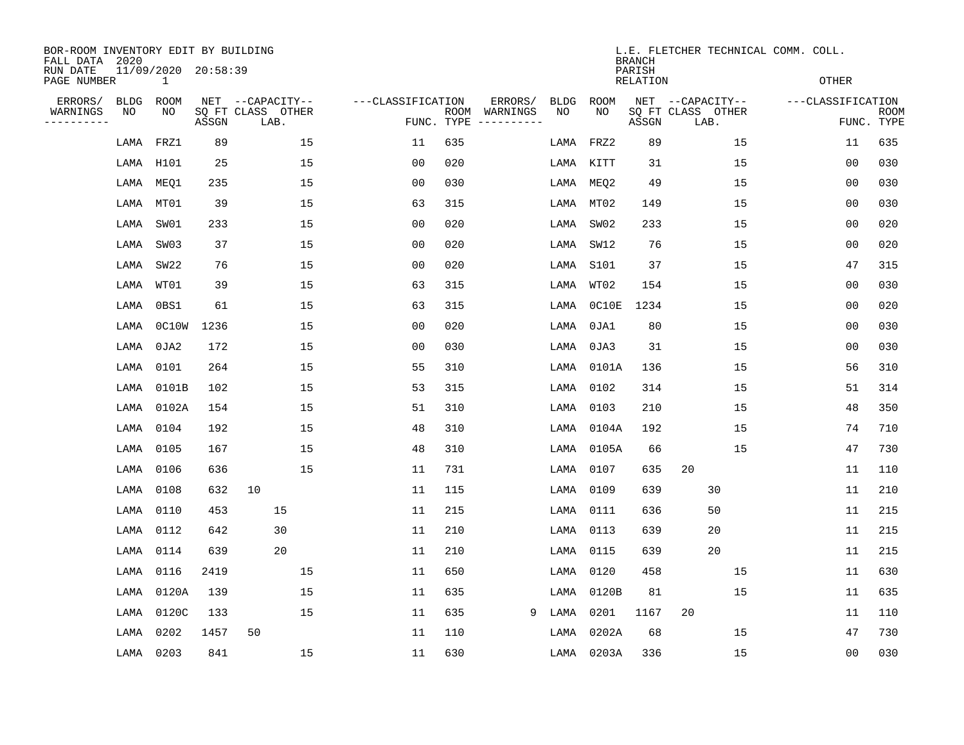| BOR-ROOM INVENTORY EDIT BY BUILDING<br>FALL DATA 2020 |             |                                     |       |                           |                   |                    |                        |             |            | <b>BRANCH</b>             | L.E. FLETCHER TECHNICAL COMM. COLL. |                   |                           |
|-------------------------------------------------------|-------------|-------------------------------------|-------|---------------------------|-------------------|--------------------|------------------------|-------------|------------|---------------------------|-------------------------------------|-------------------|---------------------------|
| RUN DATE<br>PAGE NUMBER                               |             | 11/09/2020 20:58:39<br>$\mathbf{1}$ |       |                           |                   |                    |                        |             |            | PARISH<br><b>RELATION</b> |                                     | <b>OTHER</b>      |                           |
| ERRORS/                                               | <b>BLDG</b> | ROOM                                |       | NET --CAPACITY--          | ---CLASSIFICATION |                    | ERRORS/                | <b>BLDG</b> | ROOM       |                           | NET --CAPACITY--                    | ---CLASSIFICATION |                           |
| WARNINGS<br>----------                                | ΝO          | NO                                  | ASSGN | SQ FT CLASS OTHER<br>LAB. |                   | ROOM<br>FUNC. TYPE | WARNINGS<br>---------- | NO          | NO         | ASSGN                     | SQ FT CLASS OTHER<br>LAB.           |                   | <b>ROOM</b><br>FUNC. TYPE |
|                                                       | LAMA        | FRZ1                                | 89    | 15                        | 11                | 635                |                        | LAMA        | FRZ2       | 89                        | 15                                  | 11                | 635                       |
|                                                       | LAMA        | H101                                | 25    | 15                        | 00                | 020                |                        | LAMA        | KITT       | 31                        | 15                                  | 00                | 030                       |
|                                                       | LAMA        | MEQ1                                | 235   | 15                        | 0 <sub>0</sub>    | 030                |                        | LAMA        | MEQ2       | 49                        | 15                                  | 00                | 030                       |
|                                                       | LAMA        | MT01                                | 39    | 15                        | 63                | 315                |                        | LAMA        | MT02       | 149                       | 15                                  | 0 <sub>0</sub>    | 030                       |
|                                                       | LAMA        | SW01                                | 233   | 15                        | 0 <sub>0</sub>    | 020                |                        | LAMA        | SW02       | 233                       | 15                                  | 0 <sub>0</sub>    | 020                       |
|                                                       | LAMA        | SW03                                | 37    | 15                        | 0 <sub>0</sub>    | 020                |                        | LAMA        | SW12       | 76                        | 15                                  | 0 <sub>0</sub>    | 020                       |
|                                                       | LAMA        | SW22                                | 76    | 15                        | 0 <sub>0</sub>    | 020                |                        | LAMA        | S101       | 37                        | 15                                  | 47                | 315                       |
|                                                       | LAMA        | WT01                                | 39    | 15                        | 63                | 315                |                        | LAMA        | WT02       | 154                       | 15                                  | 0 <sub>0</sub>    | 030                       |
|                                                       | LAMA        | 0BS1                                | 61    | 15                        | 63                | 315                |                        | LAMA        | OCIOE      | 1234                      | 15                                  | 0 <sub>0</sub>    | 020                       |
|                                                       | LAMA        | 0C10W                               | 1236  | 15                        | 0 <sub>0</sub>    | 020                |                        | LAMA        | 0JA1       | 80                        | 15                                  | 0 <sub>0</sub>    | 030                       |
|                                                       | LAMA        | $0$ JA2                             | 172   | 15                        | 0 <sub>0</sub>    | 030                |                        | LAMA        | 0JA3       | 31                        | 15                                  | 0 <sub>0</sub>    | 030                       |
|                                                       | LAMA        | 0101                                | 264   | 15                        | 55                | 310                |                        | LAMA        | 0101A      | 136                       | 15                                  | 56                | 310                       |
|                                                       | LAMA        | 0101B                               | 102   | 15                        | 53                | 315                |                        | LAMA        | 0102       | 314                       | 15                                  | 51                | 314                       |
|                                                       | LAMA        | 0102A                               | 154   | 15                        | 51                | 310                |                        | LAMA        | 0103       | 210                       | 15                                  | 48                | 350                       |
|                                                       | LAMA        | 0104                                | 192   | 15                        | 48                | 310                |                        | LAMA        | 0104A      | 192                       | 15                                  | 74                | 710                       |
|                                                       | LAMA        | 0105                                | 167   | 15                        | 48                | 310                |                        | LAMA        | 0105A      | 66                        | 15                                  | 47                | 730                       |
|                                                       | LAMA        | 0106                                | 636   | 15                        | 11                | 731                |                        | LAMA        | 0107       | 635                       | 20                                  | 11                | 110                       |
|                                                       | LAMA        | 0108                                | 632   | 10                        | 11                | 115                |                        | LAMA        | 0109       | 639                       | 30                                  | 11                | 210                       |
|                                                       | LAMA        | 0110                                | 453   | 15                        | 11                | 215                |                        | LAMA        | 0111       | 636                       | 50                                  | 11                | 215                       |
|                                                       | LAMA        | 0112                                | 642   | 30                        | 11                | 210                |                        | LAMA        | 0113       | 639                       | 20                                  | 11                | 215                       |
|                                                       | LAMA        | 0114                                | 639   | 20                        | 11                | 210                |                        | LAMA        | 0115       | 639                       | 20                                  | 11                | 215                       |
|                                                       | LAMA        | 0116                                | 2419  | 15                        | 11                | 650                |                        | LAMA        | 0120       | 458                       | 15                                  | 11                | 630                       |
|                                                       | LAMA        | 0120A                               | 139   | 15                        | 11                | 635                |                        | LAMA        | 0120B      | 81                        | 15                                  | 11                | 635                       |
|                                                       | LAMA        | 0120C                               | 133   | 15                        | 11                | 635                | 9                      | LAMA        | 0201       | 1167                      | 20                                  | 11                | 110                       |
|                                                       | LAMA        | 0202                                | 1457  | 50                        | 11                | 110                |                        | LAMA        | 0202A      | 68                        | 15                                  | 47                | 730                       |
|                                                       |             | LAMA 0203                           | 841   | 15                        | 11                | 630                |                        |             | LAMA 0203A | 336                       | 15                                  | 00                | 030                       |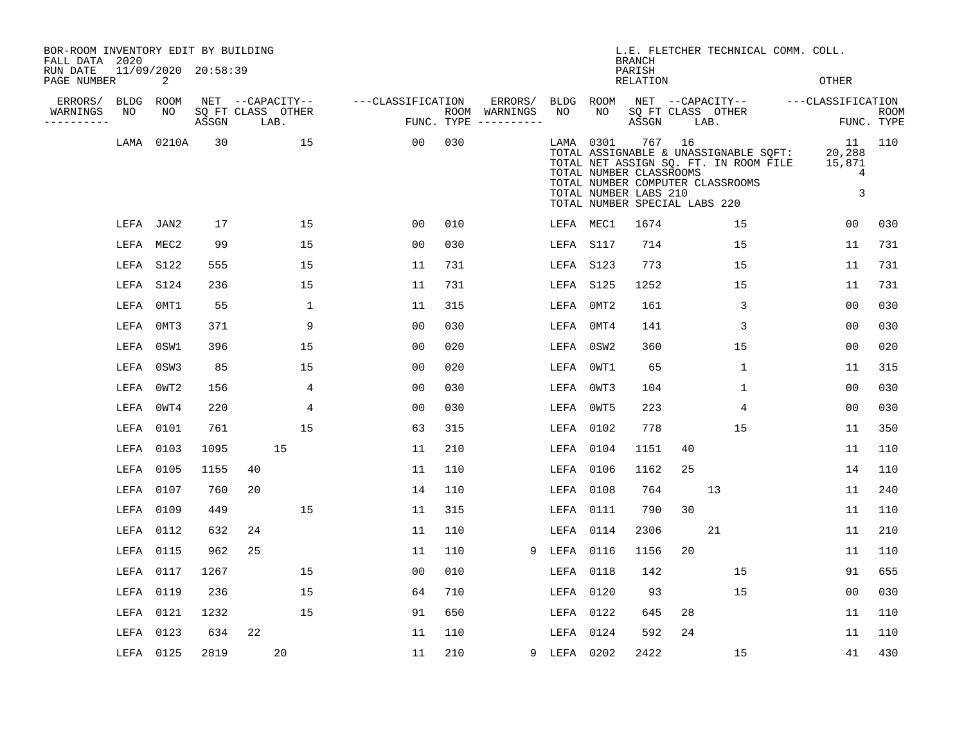| BOR-ROOM INVENTORY EDIT BY BUILDING<br>FALL DATA 2020 |      |           |                     |    |                           |                   |     |                                      |             |           | <b>BRANCH</b>                                                                     |        | L.E. FLETCHER TECHNICAL COMM. COLL.                                                                                |                                  |                           |
|-------------------------------------------------------|------|-----------|---------------------|----|---------------------------|-------------------|-----|--------------------------------------|-------------|-----------|-----------------------------------------------------------------------------------|--------|--------------------------------------------------------------------------------------------------------------------|----------------------------------|---------------------------|
| RUN DATE<br>PAGE NUMBER                               |      | 2         | 11/09/2020 20:58:39 |    |                           |                   |     |                                      |             |           | PARISH<br>RELATION                                                                |        |                                                                                                                    | <b>OTHER</b>                     |                           |
| ERRORS/                                               |      | BLDG ROOM |                     |    | NET --CAPACITY--          | ---CLASSIFICATION |     | ERRORS/                              |             | BLDG ROOM |                                                                                   |        | NET --CAPACITY--                                                                                                   | ---CLASSIFICATION                |                           |
| WARNINGS<br>----------                                | NO   | NO        | ASSGN               |    | SQ FT CLASS OTHER<br>LAB. |                   |     | ROOM WARNINGS<br>FUNC. TYPE $------$ | NO          | NO        | ASSGN                                                                             |        | SQ FT CLASS OTHER<br>LAB.                                                                                          |                                  | <b>ROOM</b><br>FUNC. TYPE |
|                                                       | LAMA | 0210A     | 30                  |    | 15                        | 00                | 030 |                                      |             | LAMA 0301 | TOTAL NUMBER CLASSROOMS<br>TOTAL NUMBER LABS 210<br>TOTAL NUMBER SPECIAL LABS 220 | 767 16 | TOTAL ASSIGNABLE & UNASSIGNABLE SQFT:<br>TOTAL NET ASSIGN SQ. FT. IN ROOM FILE<br>TOTAL NUMBER COMPUTER CLASSROOMS | 11<br>20,288<br>15,871<br>4<br>3 | 110                       |
|                                                       |      | LEFA JAN2 | 17                  |    | 15                        | 0 <sub>0</sub>    | 010 |                                      |             | LEFA MEC1 | 1674                                                                              |        | 15                                                                                                                 | 00                               | 030                       |
|                                                       |      | LEFA MEC2 | 99                  |    | 15                        | 00                | 030 |                                      |             | LEFA S117 | 714                                                                               |        | 15                                                                                                                 | 11                               | 731                       |
|                                                       |      | LEFA S122 | 555                 |    | 15                        | 11                | 731 |                                      |             | LEFA S123 | 773                                                                               |        | 15                                                                                                                 | 11                               | 731                       |
|                                                       |      | LEFA S124 | 236                 |    | 15                        | 11                | 731 |                                      |             | LEFA S125 | 1252                                                                              |        | 15                                                                                                                 | 11                               | 731                       |
|                                                       |      | LEFA 0MT1 | 55                  |    | $\mathbf 1$               | 11                | 315 |                                      | LEFA        | 0MT2      | 161                                                                               |        | 3                                                                                                                  | 0 <sub>0</sub>                   | 030                       |
|                                                       |      | LEFA 0MT3 | 371                 |    | 9                         | 0 <sub>0</sub>    | 030 |                                      | LEFA        | 0MT4      | 141                                                                               |        | 3                                                                                                                  | 0 <sub>0</sub>                   | 030                       |
|                                                       |      | LEFA 0SW1 | 396                 |    | 15                        | 00                | 020 |                                      | LEFA        | 0SW2      | 360                                                                               |        | 15                                                                                                                 | 0 <sub>0</sub>                   | 020                       |
|                                                       |      | LEFA 0SW3 | 85                  |    | 15                        | 0 <sub>0</sub>    | 020 |                                      | LEFA        | OWT1      | 65                                                                                |        | $\mathbf 1$                                                                                                        | 11                               | 315                       |
|                                                       |      | LEFA 0WT2 | 156                 |    | 4                         | 0 <sub>0</sub>    | 030 |                                      | LEFA        | OWT3      | 104                                                                               |        | $\mathbf 1$                                                                                                        | 0 <sub>0</sub>                   | 030                       |
|                                                       |      | LEFA 0WT4 | 220                 |    | 4                         | 0 <sub>0</sub>    | 030 |                                      |             | LEFA 0WT5 | 223                                                                               |        | 4                                                                                                                  | 00                               | 030                       |
|                                                       |      | LEFA 0101 | 761                 |    | 15                        | 63                | 315 |                                      |             | LEFA 0102 | 778                                                                               |        | 15                                                                                                                 | 11                               | 350                       |
|                                                       |      | LEFA 0103 | 1095                |    | 15                        | 11                | 210 |                                      | LEFA 0104   |           | 1151                                                                              | 40     |                                                                                                                    | 11                               | 110                       |
|                                                       |      | LEFA 0105 | 1155                | 40 |                           | 11                | 110 |                                      | LEFA 0106   |           | 1162                                                                              | 25     |                                                                                                                    | 14                               | 110                       |
|                                                       |      | LEFA 0107 | 760                 | 20 |                           | 14                | 110 |                                      | LEFA 0108   |           | 764                                                                               |        | 13                                                                                                                 | 11                               | 240                       |
|                                                       |      | LEFA 0109 | 449                 |    | 15                        | 11                | 315 |                                      |             | LEFA 0111 | 790                                                                               | 30     |                                                                                                                    | 11                               | 110                       |
|                                                       |      | LEFA 0112 | 632                 | 24 |                           | 11                | 110 |                                      | LEFA        | 0114      | 2306                                                                              |        | 21                                                                                                                 | 11                               | 210                       |
|                                                       |      | LEFA 0115 | 962                 | 25 |                           | 11                | 110 | 9                                    | LEFA        | 0116      | 1156                                                                              | 20     |                                                                                                                    | 11                               | 110                       |
|                                                       |      | LEFA 0117 | 1267                |    | 15                        | 0 <sub>0</sub>    | 010 |                                      | LEFA 0118   |           | 142                                                                               |        | 15                                                                                                                 | 91                               | 655                       |
|                                                       |      | LEFA 0119 | 236                 |    | 15                        | 64                | 710 |                                      |             | LEFA 0120 | 93                                                                                |        | 15                                                                                                                 | 00                               | 030                       |
|                                                       |      | LEFA 0121 | 1232                |    | 15                        | 91                | 650 |                                      |             | LEFA 0122 | 645                                                                               | 28     |                                                                                                                    | 11                               | 110                       |
|                                                       |      | LEFA 0123 | 634                 | 22 |                           | 11                | 110 |                                      |             | LEFA 0124 | 592                                                                               | 24     |                                                                                                                    | 11                               | 110                       |
|                                                       |      | LEFA 0125 | 2819                |    | 20                        | 11                | 210 |                                      | 9 LEFA 0202 |           | 2422                                                                              |        | 15                                                                                                                 | 41                               | 430                       |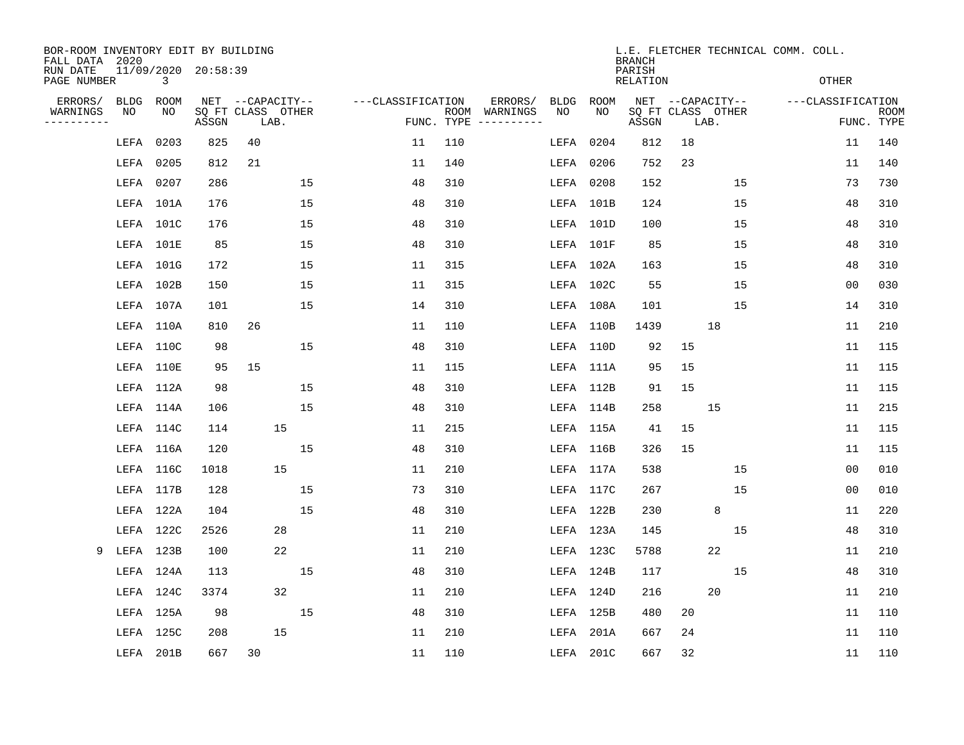| BOR-ROOM INVENTORY EDIT BY BUILDING<br>FALL DATA 2020 |             |           |                                 |                           |    |                   |                    |          |             |           | <b>BRANCH</b>      |    |                           | L.E. FLETCHER TECHNICAL COMM. COLL. |                   |                           |
|-------------------------------------------------------|-------------|-----------|---------------------------------|---------------------------|----|-------------------|--------------------|----------|-------------|-----------|--------------------|----|---------------------------|-------------------------------------|-------------------|---------------------------|
| RUN DATE<br>PAGE NUMBER                               |             | 3         | 11/09/2020 20:58:39             |                           |    |                   |                    |          |             |           | PARISH<br>RELATION |    |                           |                                     | OTHER             |                           |
| ERRORS/                                               | <b>BLDG</b> | ROOM      |                                 | NET --CAPACITY--          |    | ---CLASSIFICATION |                    | ERRORS/  | <b>BLDG</b> | ROOM      |                    |    | NET --CAPACITY--          |                                     | ---CLASSIFICATION |                           |
| WARNINGS<br>. _ _ _ _ _ _ _ _ _                       | NO          | NO        | $\operatorname{\mathsf{ASSGN}}$ | SQ FT CLASS OTHER<br>LAB. |    |                   | ROOM<br>FUNC. TYPE | WARNINGS | NO          | NO        | ASSGN              |    | SQ FT CLASS OTHER<br>LAB. |                                     |                   | <b>ROOM</b><br>FUNC. TYPE |
|                                                       | LEFA        | 0203      | 825                             | 40                        |    | 11                | 110                |          | LEFA        | 0204      | 812                | 18 |                           |                                     | 11                | 140                       |
|                                                       | LEFA        | 0205      | 812                             | 21                        |    | 11                | 140                |          | LEFA        | 0206      | 752                | 23 |                           |                                     | 11                | 140                       |
|                                                       | LEFA 0207   |           | 286                             |                           | 15 | 48                | 310                |          | LEFA 0208   |           | 152                |    | 15                        |                                     | 73                | 730                       |
|                                                       |             | LEFA 101A | 176                             |                           | 15 | 48                | 310                |          |             | LEFA 101B | 124                |    | 15                        |                                     | 48                | 310                       |
|                                                       |             | LEFA 101C | 176                             |                           | 15 | 48                | 310                |          |             | LEFA 101D | 100                |    | 15                        |                                     | 48                | 310                       |
|                                                       |             | LEFA 101E | 85                              |                           | 15 | 48                | 310                |          |             | LEFA 101F | 85                 |    | 15                        |                                     | 48                | 310                       |
|                                                       | LEFA 101G   |           | 172                             |                           | 15 | 11                | 315                |          |             | LEFA 102A | 163                |    | 15                        |                                     | 48                | 310                       |
|                                                       | LEFA 102B   |           | 150                             |                           | 15 | 11                | 315                |          |             | LEFA 102C | 55                 |    | 15                        |                                     | 00                | 030                       |
|                                                       |             | LEFA 107A | 101                             |                           | 15 | 14                | 310                |          |             | LEFA 108A | 101                |    | 15                        |                                     | 14                | 310                       |
|                                                       |             | LEFA 110A | 810                             | 26                        |    | 11                | 110                |          | LEFA 110B   |           | 1439               |    | 18                        |                                     | 11                | 210                       |
|                                                       | LEFA 110C   |           | 98                              |                           | 15 | 48                | 310                |          |             | LEFA 110D | 92                 | 15 |                           |                                     | 11                | 115                       |
|                                                       |             | LEFA 110E | 95                              | 15                        |    | 11                | 115                |          |             | LEFA 111A | 95                 | 15 |                           |                                     | 11                | 115                       |
|                                                       |             | LEFA 112A | 98                              |                           | 15 | 48                | 310                |          |             | LEFA 112B | 91                 | 15 |                           |                                     | 11                | 115                       |
|                                                       |             | LEFA 114A | 106                             |                           | 15 | 48                | 310                |          |             | LEFA 114B | 258                |    | 15                        |                                     | 11                | 215                       |
|                                                       |             | LEFA 114C | 114                             | 15                        |    | 11                | 215                |          |             | LEFA 115A | 41                 | 15 |                           |                                     | 11                | 115                       |
|                                                       |             | LEFA 116A | 120                             |                           | 15 | 48                | 310                |          |             | LEFA 116B | 326                | 15 |                           |                                     | 11                | 115                       |
|                                                       |             | LEFA 116C | 1018                            | 15                        |    | 11                | 210                |          |             | LEFA 117A | 538                |    | 15                        |                                     | 00                | 010                       |
|                                                       |             | LEFA 117B | 128                             |                           | 15 | 73                | 310                |          |             | LEFA 117C | 267                |    | 15                        |                                     | 00                | 010                       |
|                                                       |             | LEFA 122A | 104                             |                           | 15 | 48                | 310                |          |             | LEFA 122B | 230                |    | 8                         |                                     | 11                | 220                       |
|                                                       |             | LEFA 122C | 2526                            | 28                        |    | 11                | 210                |          |             | LEFA 123A | 145                |    | 15                        |                                     | 48                | 310                       |
| 9                                                     | LEFA 123B   |           | 100                             | 22                        |    | 11                | 210                |          |             | LEFA 123C | 5788               |    | 22                        |                                     | 11                | 210                       |
|                                                       |             | LEFA 124A | 113                             |                           | 15 | 48                | 310                |          |             | LEFA 124B | 117                |    | 15                        |                                     | 48                | 310                       |
|                                                       |             | LEFA 124C | 3374                            | 32                        |    | 11                | 210                |          |             | LEFA 124D | 216                |    | 20                        |                                     | 11                | 210                       |
|                                                       |             | LEFA 125A | 98                              |                           | 15 | 48                | 310                |          |             | LEFA 125B | 480                | 20 |                           |                                     | 11                | 110                       |
|                                                       |             | LEFA 125C | 208                             | 15                        |    | 11                | 210                |          | LEFA        | 201A      | 667                | 24 |                           |                                     | 11                | 110                       |
|                                                       |             | LEFA 201B | 667                             | 30                        |    | 11                | 110                |          |             | LEFA 201C | 667                | 32 |                           |                                     | 11                | 110                       |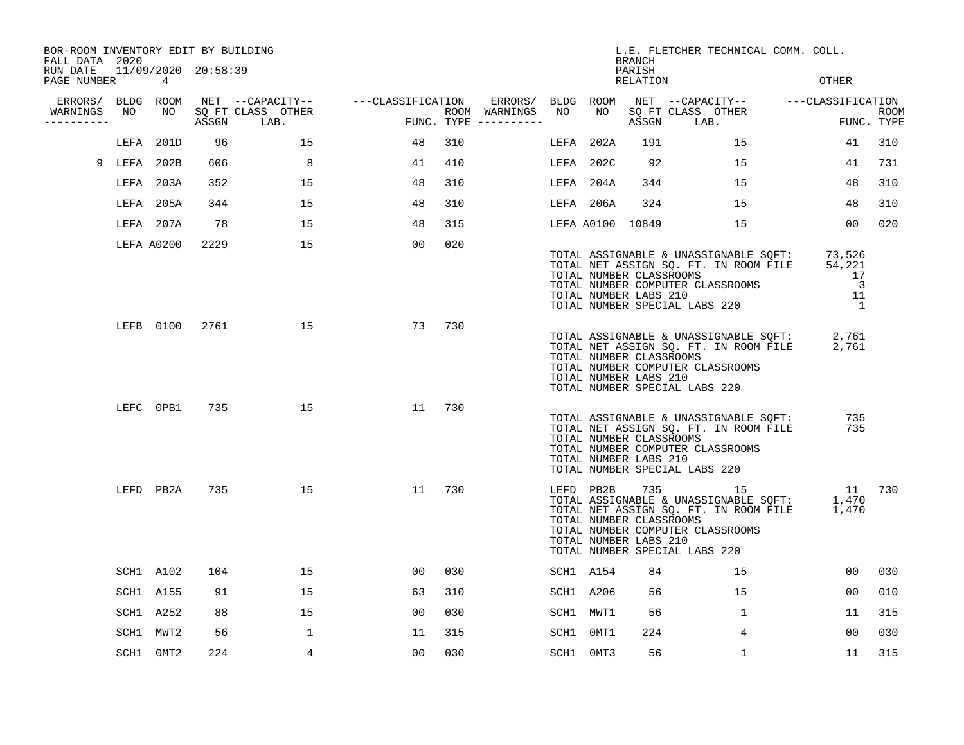| BOR-ROOM INVENTORY EDIT BY BUILDING<br>FALL DATA 2020 |           |            |                     |                           |                                    |     |                                      |           |           | <b>BRANCH</b>                                    | L.E. FLETCHER TECHNICAL COMM. COLL.                                                                                                                           |                                                                                      |                           |
|-------------------------------------------------------|-----------|------------|---------------------|---------------------------|------------------------------------|-----|--------------------------------------|-----------|-----------|--------------------------------------------------|---------------------------------------------------------------------------------------------------------------------------------------------------------------|--------------------------------------------------------------------------------------|---------------------------|
| RUN DATE<br>PAGE NUMBER                               |           | 4          | 11/09/2020 20:58:39 |                           |                                    |     |                                      |           |           | PARISH<br>RELATION                               |                                                                                                                                                               | <b>OTHER</b>                                                                         |                           |
| ERRORS/ BLDG ROOM                                     |           |            |                     |                           | NET --CAPACITY-- ---CLASSIFICATION |     | ERRORS/                              | BLDG ROOM |           |                                                  | NET --CAPACITY-- - ---CLASSIFICATION                                                                                                                          |                                                                                      |                           |
| WARNINGS<br>----------                                | NO        | NO         | ASSGN               | SQ FT CLASS OTHER<br>LAB. |                                    |     | ROOM WARNINGS<br>FUNC. TYPE $------$ | NO        | NO        | ASSGN                                            | SQ FT CLASS OTHER<br>LAB.                                                                                                                                     |                                                                                      | <b>ROOM</b><br>FUNC. TYPE |
|                                                       |           | LEFA 201D  | 96                  | 15                        | 48                                 | 310 |                                      |           | LEFA 202A | 191                                              | 15                                                                                                                                                            | 41                                                                                   | 310                       |
| 9                                                     | LEFA 202B |            | 606                 | 8                         | 41                                 | 410 |                                      |           | LEFA 202C | 92                                               | 15                                                                                                                                                            | 41                                                                                   | 731                       |
|                                                       |           | LEFA 203A  | 352                 | 15                        | 48                                 | 310 |                                      |           | LEFA 204A | 344                                              | 15                                                                                                                                                            | 48                                                                                   | 310                       |
|                                                       |           | LEFA 205A  | 344                 | 15                        | 48                                 | 310 |                                      |           | LEFA 206A | 324                                              | 15                                                                                                                                                            | 48                                                                                   | 310                       |
|                                                       |           | LEFA 207A  | 78                  | 15                        | 48                                 | 315 |                                      |           |           | LEFA A0100 10849                                 | 15                                                                                                                                                            | 0 <sub>0</sub>                                                                       | 020                       |
|                                                       |           | LEFA A0200 | 2229                | 15                        | 00                                 | 020 |                                      |           |           | TOTAL NUMBER CLASSROOMS<br>TOTAL NUMBER LABS 210 | TOTAL ASSIGNABLE & UNASSIGNABLE SQFT:<br>TOTAL NET ASSIGN SQ. FT. IN ROOM FILE<br>TOTAL NUMBER COMPUTER CLASSROOMS<br>TOTAL NUMBER SPECIAL LABS 220           | 73,526<br>54,221<br>17<br>$\overline{\phantom{a}}$<br>11<br>$\overline{\phantom{0}}$ |                           |
|                                                       |           | LEFB 0100  |                     | 2761 200<br>15            | 73                                 | 730 |                                      |           |           | TOTAL NUMBER CLASSROOMS<br>TOTAL NUMBER LABS 210 | TOTAL ASSIGNABLE & UNASSIGNABLE SQFT:<br>TOTAL NET ASSIGN SQ. FT. IN ROOM FILE<br>TOTAL NUMBER COMPUTER CLASSROOMS<br>TOTAL NUMBER SPECIAL LABS 220           | 2,761<br>2,761                                                                       |                           |
|                                                       |           | LEFC 0PB1  | 735                 | 15                        | 11                                 | 730 |                                      |           |           | TOTAL NUMBER CLASSROOMS<br>TOTAL NUMBER LABS 210 | TOTAL ASSIGNABLE & UNASSIGNABLE SQFT:<br>TOTAL NET ASSIGN SQ. FT. IN ROOM FILE<br>TOTAL NUMBER COMPUTER CLASSROOMS<br>TOTAL NUMBER SPECIAL LABS 220           | 735<br>735                                                                           |                           |
|                                                       |           | LEFD PB2A  | 735                 | 15                        | 11                                 | 730 |                                      |           | LEFD PB2B | TOTAL NUMBER CLASSROOMS<br>TOTAL NUMBER LABS 210 | 735 15<br>TOTAL ASSIGNABLE & UNASSIGNABLE SQFT:<br>TOTAL NET ASSIGN SQ. FT. IN ROOM FILE<br>TOTAL NUMBER COMPUTER CLASSROOMS<br>TOTAL NUMBER SPECIAL LABS 220 | 11<br>1,470<br>1,470                                                                 | 730                       |
|                                                       |           | SCH1 A102  | 104                 | 15                        | 00                                 | 030 |                                      |           | SCH1 A154 | 84                                               | 15                                                                                                                                                            | 00                                                                                   | 030                       |
|                                                       |           | SCH1 A155  | 91                  | 15                        | 63                                 | 310 |                                      |           | SCH1 A206 | 56                                               | 15                                                                                                                                                            | 00                                                                                   | 010                       |
|                                                       |           | SCH1 A252  | 88                  | 15                        | 00                                 | 030 |                                      |           | SCH1 MWT1 | 56                                               | 1                                                                                                                                                             | 11                                                                                   | 315                       |
|                                                       |           | SCH1 MWT2  | 56                  | 1                         | 11                                 | 315 |                                      |           | SCH1 0MT1 | 224                                              | $\overline{4}$                                                                                                                                                | 00                                                                                   | 030                       |
|                                                       |           | SCH1 0MT2  | 224                 | 4                         | 00                                 | 030 |                                      |           | SCH1 0MT3 | 56                                               | 1                                                                                                                                                             | 11                                                                                   | 315                       |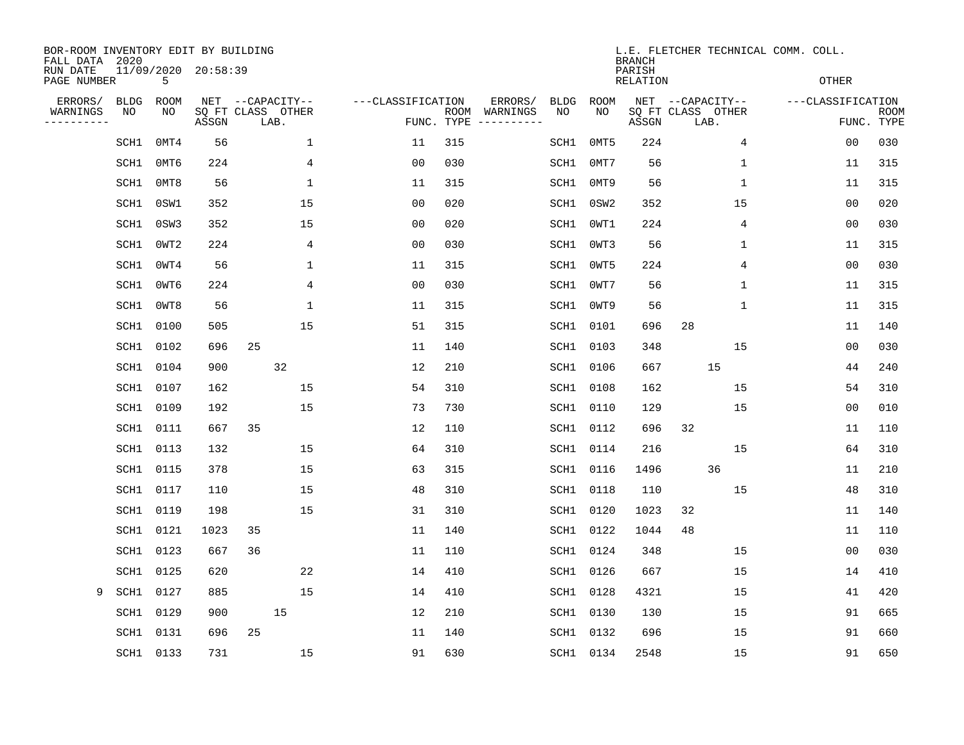| BOR-ROOM INVENTORY EDIT BY BUILDING<br>FALL DATA 2020 |             |           |                     |                           |                     |                    |                         |             |      | <b>BRANCH</b>      |                           | L.E. FLETCHER TECHNICAL COMM. COLL. |                           |
|-------------------------------------------------------|-------------|-----------|---------------------|---------------------------|---------------------|--------------------|-------------------------|-------------|------|--------------------|---------------------------|-------------------------------------|---------------------------|
| RUN DATE<br>PAGE NUMBER                               |             | 5         | 11/09/2020 20:58:39 |                           |                     |                    |                         |             |      | PARISH<br>RELATION |                           | <b>OTHER</b>                        |                           |
| ERRORS/                                               | <b>BLDG</b> | ROOM      |                     | NET --CAPACITY--          | ---CLASSIFICATION   |                    | ERRORS/                 | <b>BLDG</b> | ROOM |                    | NET --CAPACITY--          | ---CLASSIFICATION                   |                           |
| WARNINGS<br>---------                                 | NO          | NO        | ASSGN               | SQ FT CLASS OTHER<br>LAB. |                     | ROOM<br>FUNC. TYPE | WARNINGS<br>----------- | NO          | NO   | ASSGN              | SQ FT CLASS OTHER<br>LAB. |                                     | <b>ROOM</b><br>FUNC. TYPE |
|                                                       | SCH1        | 0MT4      | 56                  |                           | 1<br>11             | 315                |                         | SCH1        | 0MT5 | 224                | 4                         | 0 <sub>0</sub>                      | 030                       |
|                                                       | SCH1        | 0MT6      | 224                 |                           | 4<br>00             | 030                |                         | SCH1        | 0MT7 | 56                 | 1                         | 11                                  | 315                       |
|                                                       | SCH1        | 0MT8      | 56                  |                           | 1<br>11             | 315                |                         | SCH1        | 0MT9 | 56                 | $\mathbf 1$               | 11                                  | 315                       |
|                                                       | SCH1        | 0SW1      | 352                 | 15                        | 00                  | 020                |                         | SCH1        | 0SW2 | 352                | 15                        | 00                                  | 020                       |
|                                                       | SCH1        | 0SW3      | 352                 | 15                        | 00                  | 020                |                         | SCH1        | OWT1 | 224                | 4                         | 00                                  | 030                       |
|                                                       | SCH1        | 0WT2      | 224                 |                           | 0 <sub>0</sub><br>4 | 030                |                         | SCH1        | OWT3 | 56                 | 1                         | 11                                  | 315                       |
|                                                       | SCH1        | OWT4      | 56                  |                           | 1<br>11             | 315                |                         | SCH1        | 0WT5 | 224                | 4                         | 0 <sub>0</sub>                      | 030                       |
|                                                       | SCH1        | 0WT6      | 224                 |                           | 0 <sub>0</sub><br>4 | 030                |                         | SCH1        | 0WT7 | 56                 | $\mathbf 1$               | 11                                  | 315                       |
|                                                       | SCH1        | OWT8      | 56                  |                           | 1<br>11             | 315                |                         | SCH1        | OWT9 | 56                 | 1                         | 11                                  | 315                       |
|                                                       | SCH1        | 0100      | 505                 | 15                        | 51                  | 315                |                         | SCH1        | 0101 | 696                | 28                        | 11                                  | 140                       |
|                                                       | SCH1        | 0102      | 696                 | 25                        | 11                  | 140                |                         | SCH1        | 0103 | 348                | 15                        | 0 <sub>0</sub>                      | 030                       |
|                                                       | SCH1        | 0104      | 900                 | 32                        | 12                  | 210                |                         | SCH1        | 0106 | 667                | 15                        | 44                                  | 240                       |
|                                                       | SCH1        | 0107      | 162                 | 15                        | 54                  | 310                |                         | SCH1        | 0108 | 162                | 15                        | 54                                  | 310                       |
|                                                       | SCH1        | 0109      | 192                 | 15                        | 73                  | 730                |                         | SCH1 0110   |      | 129                | 15                        | 00                                  | 010                       |
|                                                       | SCH1        | 0111      | 667                 | 35                        | 12                  | 110                |                         | SCH1        | 0112 | 696                | 32                        | 11                                  | 110                       |
|                                                       | SCH1        | 0113      | 132                 | 15                        | 64                  | 310                |                         | SCH1        | 0114 | 216                | 15                        | 64                                  | 310                       |
|                                                       | SCH1        | 0115      | 378                 | 15                        | 63                  | 315                |                         | SCH1        | 0116 | 1496               | 36                        | 11                                  | 210                       |
|                                                       | SCH1        | 0117      | 110                 | 15                        | 48                  | 310                |                         | SCH1        | 0118 | 110                | 15                        | 48                                  | 310                       |
|                                                       | SCH1        | 0119      | 198                 | 15                        | 31                  | 310                |                         | SCH1        | 0120 | 1023               | 32                        | 11                                  | 140                       |
|                                                       | SCH1        | 0121      | 1023                | 35                        | 11                  | 140                |                         | SCH1        | 0122 | 1044               | 48                        | 11                                  | 110                       |
|                                                       | SCH1        | 0123      | 667                 | 36                        | 11                  | 110                |                         | SCH1 0124   |      | 348                | 15                        | 0 <sub>0</sub>                      | 030                       |
|                                                       | SCH1        | 0125      | 620                 | 22                        | 14                  | 410                |                         | SCH1        | 0126 | 667                | 15                        | 14                                  | 410                       |
| 9                                                     | SCH1        | 0127      | 885                 | 15                        | 14                  | 410                |                         | SCH1        | 0128 | 4321               | 15                        | 41                                  | 420                       |
|                                                       | SCH1        | 0129      | 900                 | 15                        | 12                  | 210                |                         | SCH1        | 0130 | 130                | 15                        | 91                                  | 665                       |
|                                                       | SCH1        | 0131      | 696                 | 25                        | 11                  | 140                |                         | SCH1        | 0132 | 696                | 15                        | 91                                  | 660                       |
|                                                       |             | SCH1 0133 | 731                 | 15                        | 91                  | 630                |                         | SCH1 0134   |      | 2548               | 15                        | 91                                  | 650                       |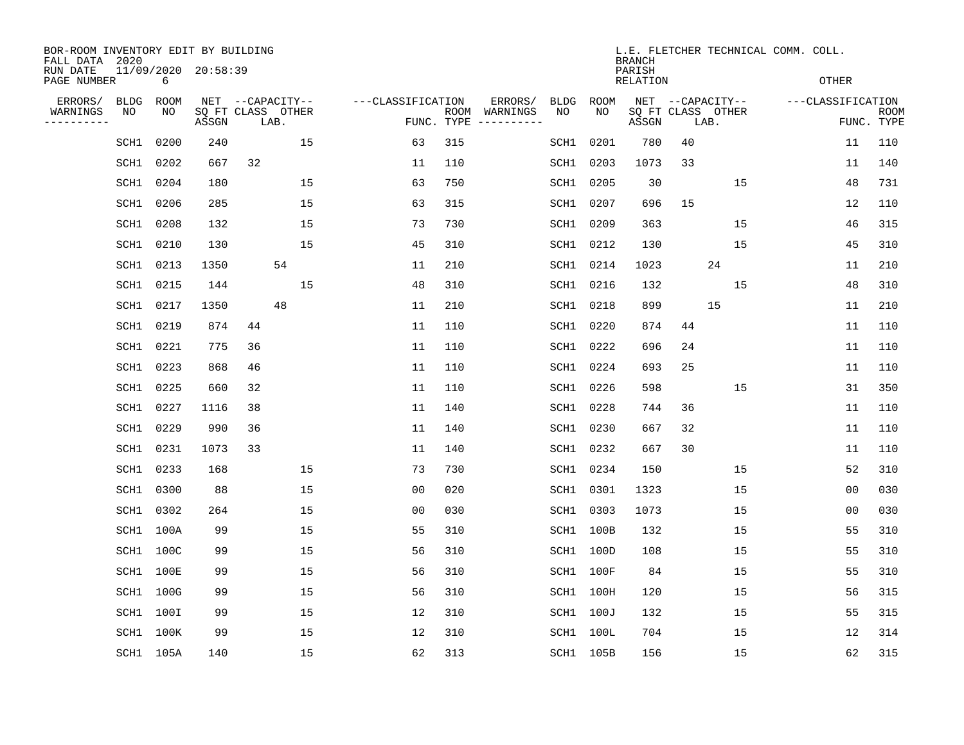| BOR-ROOM INVENTORY EDIT BY BUILDING<br>FALL DATA 2020 |                  |           |                     |                           |    |                   |                    |                         |             |           | <b>BRANCH</b>             |    |                           | L.E. FLETCHER TECHNICAL COMM. COLL. |                           |
|-------------------------------------------------------|------------------|-----------|---------------------|---------------------------|----|-------------------|--------------------|-------------------------|-------------|-----------|---------------------------|----|---------------------------|-------------------------------------|---------------------------|
| RUN DATE<br>PAGE NUMBER                               |                  | 6         | 11/09/2020 20:58:39 |                           |    |                   |                    |                         |             |           | PARISH<br><b>RELATION</b> |    |                           | <b>OTHER</b>                        |                           |
| ERRORS/                                               | <b>BLDG</b>      | ROOM      |                     | NET --CAPACITY--          |    | ---CLASSIFICATION |                    | ERRORS/                 | <b>BLDG</b> | ROOM      |                           |    | NET --CAPACITY--          | ---CLASSIFICATION                   |                           |
| WARNINGS<br>----------                                | ΝO               | NO        | ASSGN               | SQ FT CLASS OTHER<br>LAB. |    |                   | ROOM<br>FUNC. TYPE | WARNINGS<br>----------- | NO          | NO        | ASSGN                     |    | SQ FT CLASS OTHER<br>LAB. |                                     | <b>ROOM</b><br>FUNC. TYPE |
|                                                       | SCH1             | 0200      | 240                 |                           | 15 | 63                | 315                |                         | SCH1        | 0201      | 780                       | 40 |                           | 11                                  | 110                       |
|                                                       | SCH1             | 0202      | 667                 | 32                        |    | 11                | 110                |                         | SCH1        | 0203      | 1073                      | 33 |                           | 11                                  | 140                       |
|                                                       | SCH1             | 0204      | 180                 |                           | 15 | 63                | 750                |                         | SCH1        | 0205      | 30                        |    | 15                        | 48                                  | 731                       |
|                                                       | SCH1             | 0206      | 285                 |                           | 15 | 63                | 315                |                         |             | SCH1 0207 | 696                       | 15 |                           | 12                                  | 110                       |
|                                                       | SCH1             | 0208      | 132                 |                           | 15 | 73                | 730                |                         |             | SCH1 0209 | 363                       |    | 15                        | 46                                  | 315                       |
|                                                       | SCH1             | 0210      | 130                 |                           | 15 | 45                | 310                |                         |             | SCH1 0212 | 130                       |    | 15                        | 45                                  | 310                       |
|                                                       | SCH1             | 0213      | 1350                |                           | 54 | 11                | 210                |                         |             | SCH1 0214 | 1023                      |    | 24                        | 11                                  | 210                       |
|                                                       | SCH1             | 0215      | 144                 |                           | 15 | 48                | 310                |                         |             | SCH1 0216 | 132                       |    | 15                        | 48                                  | 310                       |
|                                                       | SCH1             | 0217      | 1350                | 48                        |    | 11                | 210                |                         | SCH1        | 0218      | 899                       |    | 15                        | 11                                  | 210                       |
|                                                       | SCH1             | 0219      | 874                 | 44                        |    | 11                | 110                |                         |             | SCH1 0220 | 874                       | 44 |                           | 11                                  | 110                       |
|                                                       | SCH1             | 0221      | 775                 | 36                        |    | 11                | 110                |                         | SCH1        | 0222      | 696                       | 24 |                           | 11                                  | 110                       |
|                                                       | SCH1             | 0223      | 868                 | 46                        |    | 11                | 110                |                         |             | SCH1 0224 | 693                       | 25 |                           | 11                                  | 110                       |
|                                                       | SCH1             | 0225      | 660                 | 32                        |    | 11                | 110                |                         | SCH1        | 0226      | 598                       |    | 15                        | 31                                  | 350                       |
|                                                       | SCH1             | 0227      | 1116                | 38                        |    | 11                | 140                |                         | SCH1        | 0228      | 744                       | 36 |                           | 11                                  | 110                       |
|                                                       | SCH1             | 0229      | 990                 | 36                        |    | 11                | 140                |                         | SCH1        | 0230      | 667                       | 32 |                           | 11                                  | 110                       |
|                                                       | SCH1             | 0231      | 1073                | 33                        |    | 11                | 140                |                         | SCH1        | 0232      | 667                       | 30 |                           | 11                                  | 110                       |
|                                                       | SCH1             | 0233      | 168                 |                           | 15 | 73                | 730                |                         | SCH1        | 0234      | 150                       |    | 15                        | 52                                  | 310                       |
|                                                       | SCH1             | 0300      | 88                  |                           | 15 | 00                | 020                |                         | SCH1        | 0301      | 1323                      |    | 15                        | 0 <sub>0</sub>                      | 030                       |
|                                                       | SCH1             | 0302      | 264                 |                           | 15 | 0 <sub>0</sub>    | 030                |                         | SCH1        | 0303      | 1073                      |    | 15                        | 0 <sub>0</sub>                      | 030                       |
|                                                       | SCH1             | 100A      | 99                  |                           | 15 | 55                | 310                |                         |             | SCH1 100B | 132                       |    | 15                        | 55                                  | 310                       |
|                                                       | SCH1             | 100C      | 99                  |                           | 15 | 56                | 310                |                         |             | SCH1 100D | 108                       |    | 15                        | 55                                  | 310                       |
|                                                       | <b>SCH1 100E</b> |           | 99                  |                           | 15 | 56                | 310                |                         |             | SCH1 100F | 84                        |    | 15                        | 55                                  | 310                       |
|                                                       | SCH1             | 100G      | 99                  |                           | 15 | 56                | 310                |                         |             | SCH1 100H | 120                       |    | 15                        | 56                                  | 315                       |
|                                                       | SCH1 100I        |           | 99                  |                           | 15 | 12                | 310                |                         |             | SCH1 100J | 132                       |    | 15                        | 55                                  | 315                       |
|                                                       | SCH1 100K        |           | 99                  |                           | 15 | 12                | 310                |                         |             | SCH1 100L | 704                       |    | 15                        | 12                                  | 314                       |
|                                                       |                  | SCH1 105A | 140                 |                           | 15 | 62                | 313                |                         |             | SCH1 105B | 156                       |    | 15                        | 62                                  | 315                       |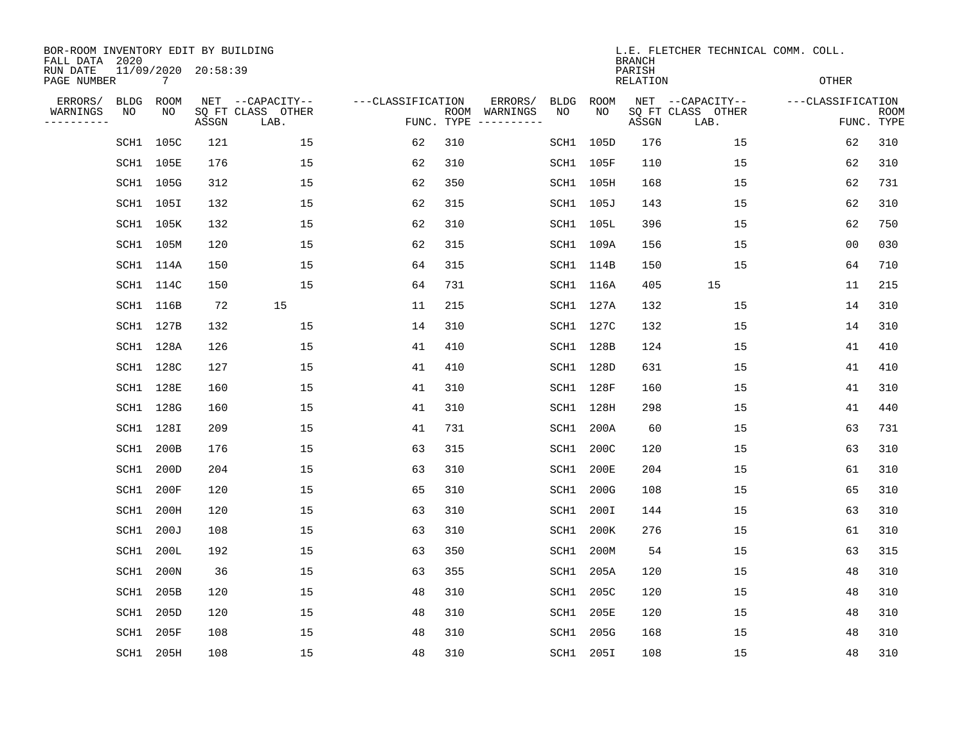| BOR-ROOM INVENTORY EDIT BY BUILDING<br>FALL DATA 2020 |      |           |                     |                           |                   |                    |                         |      |           | <b>BRANCH</b>             | L.E. FLETCHER TECHNICAL COMM. COLL. |                   |                           |
|-------------------------------------------------------|------|-----------|---------------------|---------------------------|-------------------|--------------------|-------------------------|------|-----------|---------------------------|-------------------------------------|-------------------|---------------------------|
| RUN DATE<br>PAGE NUMBER                               |      | 7         | 11/09/2020 20:58:39 |                           |                   |                    |                         |      |           | PARISH<br><b>RELATION</b> |                                     | <b>OTHER</b>      |                           |
| ERRORS/                                               | BLDG | ROOM      |                     | NET --CAPACITY--          | ---CLASSIFICATION |                    | ERRORS/                 | BLDG | ROOM      |                           | NET --CAPACITY--                    | ---CLASSIFICATION |                           |
| WARNINGS<br>----------                                | ΝO   | NO        | ASSGN               | SQ FT CLASS OTHER<br>LAB. |                   | ROOM<br>FUNC. TYPE | WARNINGS<br>----------- | NO   | NO        | ASSGN                     | SQ FT CLASS OTHER<br>LAB.           |                   | <b>ROOM</b><br>FUNC. TYPE |
|                                                       | SCH1 | 105C      | 121                 | 15                        | 62                | 310                |                         |      | SCH1 105D | 176                       | 15                                  | 62                | 310                       |
|                                                       |      | SCH1 105E | 176                 | 15                        | 62                | 310                |                         |      | SCH1 105F | 110                       | 15                                  | 62                | 310                       |
|                                                       |      | SCH1 105G | 312                 | 15                        | 62                | 350                |                         |      | SCH1 105H | 168                       | 15                                  | 62                | 731                       |
|                                                       |      | SCH1 105I | 132                 | 15                        | 62                | 315                |                         |      | SCH1 105J | 143                       | 15                                  | 62                | 310                       |
|                                                       |      | SCH1 105K | 132                 | 15                        | 62                | 310                |                         |      | SCH1 105L | 396                       | 15                                  | 62                | 750                       |
|                                                       |      | SCH1 105M | 120                 | 15                        | 62                | 315                |                         |      | SCH1 109A | 156                       | 15                                  | 0 <sub>0</sub>    | 030                       |
|                                                       |      | SCH1 114A | 150                 | 15                        | 64                | 315                |                         |      | SCH1 114B | 150                       | 15                                  | 64                | 710                       |
|                                                       |      | SCH1 114C | 150                 | 15                        | 64                | 731                |                         |      | SCH1 116A | 405                       | 15                                  | 11                | 215                       |
|                                                       |      | SCH1 116B | 72                  | 15                        | 11                | 215                |                         |      | SCH1 127A | 132                       | 15                                  | 14                | 310                       |
|                                                       |      | SCH1 127B | 132                 | 15                        | 14                | 310                |                         |      | SCH1 127C | 132                       | 15                                  | 14                | 310                       |
|                                                       |      | SCH1 128A | 126                 | 15                        | 41                | 410                |                         |      | SCH1 128B | 124                       | 15                                  | 41                | 410                       |
|                                                       |      | SCH1 128C | 127                 | 15                        | 41                | 410                |                         |      | SCH1 128D | 631                       | 15                                  | 41                | 410                       |
|                                                       |      | SCH1 128E | 160                 | 15                        | 41                | 310                |                         |      | SCH1 128F | 160                       | 15                                  | 41                | 310                       |
|                                                       |      | SCH1 128G | 160                 | 15                        | 41                | 310                |                         |      | SCH1 128H | 298                       | 15                                  | 41                | 440                       |
|                                                       | SCH1 | 128I      | 209                 | 15                        | 41                | 731                |                         | SCH1 | 200A      | 60                        | 15                                  | 63                | 731                       |
|                                                       | SCH1 | 200B      | 176                 | 15                        | 63                | 315                |                         | SCH1 | 200C      | 120                       | 15                                  | 63                | 310                       |
|                                                       | SCH1 | 200D      | 204                 | 15                        | 63                | 310                |                         | SCH1 | 200E      | 204                       | 15                                  | 61                | 310                       |
|                                                       | SCH1 | 200F      | 120                 | 15                        | 65                | 310                |                         | SCH1 | 200G      | 108                       | 15                                  | 65                | 310                       |
|                                                       | SCH1 | 200H      | 120                 | 15                        | 63                | 310                |                         | SCH1 | 200I      | 144                       | 15                                  | 63                | 310                       |
|                                                       | SCH1 | 200J      | 108                 | 15                        | 63                | 310                |                         | SCH1 | 200K      | 276                       | 15                                  | 61                | 310                       |
|                                                       | SCH1 | 200L      | 192                 | 15                        | 63                | 350                |                         | SCH1 | 200M      | 54                        | 15                                  | 63                | 315                       |
|                                                       | SCH1 | 200N      | 36                  | 15                        | 63                | 355                |                         | SCH1 | 205A      | 120                       | 15                                  | 48                | 310                       |
|                                                       | SCH1 | 205B      | 120                 | 15                        | 48                | 310                |                         | SCH1 | 205C      | 120                       | 15                                  | 48                | 310                       |
|                                                       | SCH1 | 205D      | 120                 | 15                        | 48                | 310                |                         | SCH1 | 205E      | 120                       | 15                                  | 48                | 310                       |
|                                                       | SCH1 | 205F      | 108                 | 15                        | 48                | 310                |                         | SCH1 | 205G      | 168                       | 15                                  | 48                | 310                       |
|                                                       |      | SCH1 205H | 108                 | 15                        | 48                | 310                |                         |      | SCH1 205I | 108                       | 15                                  | 48                | 310                       |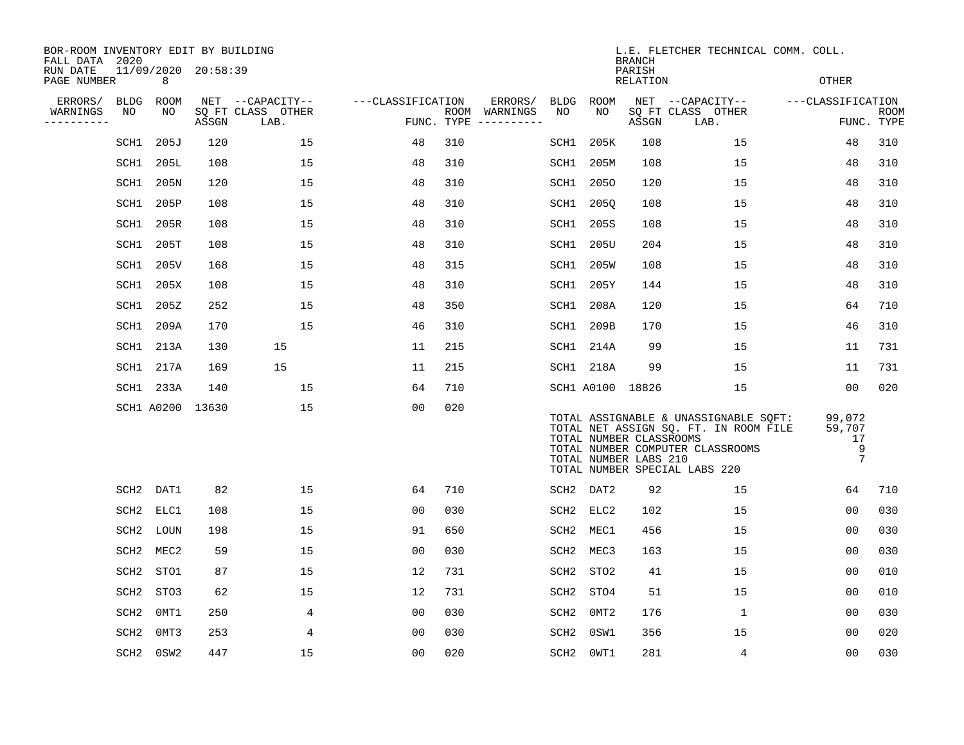| BOR-ROOM INVENTORY EDIT BY BUILDING<br>FALL DATA 2020 |                  |                  |                     |                           |                   |     |                                      |                  |                  | <b>BRANCH</b>                                    | L.E. FLETCHER TECHNICAL COMM. COLL.                                                                                                                 |                                               |                           |
|-------------------------------------------------------|------------------|------------------|---------------------|---------------------------|-------------------|-----|--------------------------------------|------------------|------------------|--------------------------------------------------|-----------------------------------------------------------------------------------------------------------------------------------------------------|-----------------------------------------------|---------------------------|
| RUN DATE<br>PAGE NUMBER                               |                  | 8                | 11/09/2020 20:58:39 |                           |                   |     |                                      |                  |                  | PARISH<br>RELATION                               |                                                                                                                                                     | OTHER                                         |                           |
| ERRORS/                                               | BLDG             | ROOM             |                     | NET --CAPACITY--          | ---CLASSIFICATION |     | ERRORS/                              |                  | BLDG ROOM        |                                                  | NET --CAPACITY--                                                                                                                                    | ---CLASSIFICATION                             |                           |
| WARNINGS<br>NO<br>----------                          |                  | NO               | ASSGN               | SQ FT CLASS OTHER<br>LAB. |                   |     | ROOM WARNINGS<br>FUNC. TYPE $------$ | NO               | NO.              | ASSGN                                            | SQ FT CLASS OTHER<br>LAB.                                                                                                                           |                                               | <b>ROOM</b><br>FUNC. TYPE |
|                                                       | SCH1             | 205J             | 120                 | 15                        | 48                | 310 |                                      | SCH1             | 205K             | 108                                              | 15                                                                                                                                                  | 48                                            | 310                       |
|                                                       | SCH1             | 205L             | 108                 | 15                        | 48                | 310 |                                      | SCH1             | 205M             | 108                                              | 15                                                                                                                                                  | 48                                            | 310                       |
|                                                       | SCH1             | 205N             | 120                 | 15                        | 48                | 310 |                                      | SCH1             | 2050             | 120                                              | 15                                                                                                                                                  | 48                                            | 310                       |
|                                                       | SCH1             | 205P             | 108                 | 15                        | 48                | 310 |                                      | SCH1             | 205Q             | 108                                              | 15                                                                                                                                                  | 48                                            | 310                       |
|                                                       | SCH1             | 205R             | 108                 | 15                        | 48                | 310 |                                      |                  | SCH1 205S        | 108                                              | 15                                                                                                                                                  | 48                                            | 310                       |
|                                                       | SCH1             | 205T             | 108                 | 15                        | 48                | 310 |                                      |                  | SCH1 205U        | 204                                              | 15                                                                                                                                                  | 48                                            | 310                       |
|                                                       | SCH1             | 205V             | 168                 | 15                        | 48                | 315 |                                      | SCH1             | 205W             | 108                                              | 15                                                                                                                                                  | 48                                            | 310                       |
|                                                       | SCH1             | 205X             | 108                 | 15                        | 48                | 310 |                                      |                  | SCH1 205Y        | 144                                              | 15                                                                                                                                                  | 48                                            | 310                       |
|                                                       | SCH1             | 205Z             | 252                 | 15                        | 48                | 350 |                                      | SCH1             | 208A             | 120                                              | 15                                                                                                                                                  | 64                                            | 710                       |
|                                                       | SCH1             | 209A             | 170                 | 15                        | 46                | 310 |                                      |                  | SCH1 209B        | 170                                              | 15                                                                                                                                                  | 46                                            | 310                       |
|                                                       | SCH1 213A        |                  | 130                 | 15                        | 11                | 215 |                                      |                  | SCH1 214A        | 99                                               | 15                                                                                                                                                  | 11                                            | 731                       |
|                                                       | SCH1 217A        |                  | 169                 | 15                        | 11                | 215 |                                      |                  | SCH1 218A        | 99                                               | 15                                                                                                                                                  | 11                                            | 731                       |
|                                                       | SCH1 233A        |                  | 140                 | 15                        | 64                | 710 |                                      |                  | SCH1 A0100 18826 |                                                  | 15                                                                                                                                                  | 00                                            | 020                       |
|                                                       |                  |                  | SCH1 A0200 13630    | 15                        | 0 <sub>0</sub>    | 020 |                                      |                  |                  | TOTAL NUMBER CLASSROOMS<br>TOTAL NUMBER LABS 210 | TOTAL ASSIGNABLE & UNASSIGNABLE SQFT:<br>TOTAL NET ASSIGN SQ. FT. IN ROOM FILE<br>TOTAL NUMBER COMPUTER CLASSROOMS<br>TOTAL NUMBER SPECIAL LABS 220 | 99,072<br>59,707<br>17<br>9<br>$\overline{7}$ |                           |
|                                                       | SCH2             | DAT1             | 82                  | 15                        | 64                | 710 |                                      |                  | SCH2 DAT2        | 92                                               | 15                                                                                                                                                  | 64                                            | 710                       |
|                                                       | SCH2             | ELC1             | 108                 | 15                        | 00                | 030 |                                      |                  | SCH2 ELC2        | 102                                              | 15                                                                                                                                                  | 00                                            | 030                       |
|                                                       | SCH2             | LOUN             | 198                 | 15                        | 91                | 650 |                                      | SCH2             | MEC1             | 456                                              | 15                                                                                                                                                  | 00                                            | 030                       |
|                                                       | SCH2             | MEC <sub>2</sub> | 59                  | 15                        | 0 <sub>0</sub>    | 030 |                                      |                  | SCH2 MEC3        | 163                                              | 15                                                                                                                                                  | 00                                            | 030                       |
|                                                       | SCH2             | STO1             | 87                  | 15                        | 12                | 731 |                                      | SCH2             | STO2             | 41                                               | 15                                                                                                                                                  | 00                                            | 010                       |
|                                                       | SCH2             | STO3             | 62                  | 15                        | 12                | 731 |                                      | SCH <sub>2</sub> | STO4             | 51                                               | 15                                                                                                                                                  | 0 <sub>0</sub>                                | 010                       |
|                                                       | SCH <sub>2</sub> | 0MT1             | 250                 | 4                         | 00                | 030 |                                      | SCH <sub>2</sub> | 0MT2             | 176                                              | 1                                                                                                                                                   | 0 <sub>0</sub>                                | 030                       |
|                                                       | SCH <sub>2</sub> | OMT3             | 253                 | 4                         | 00                | 030 |                                      | SCH2             | 0SW1             | 356                                              | 15                                                                                                                                                  | 00                                            | 020                       |
|                                                       | SCH2             | 0SW2             | 447                 | 15                        | 00                | 020 |                                      | SCH2             | OWT1             | 281                                              | 4                                                                                                                                                   | 0 <sub>0</sub>                                | 030                       |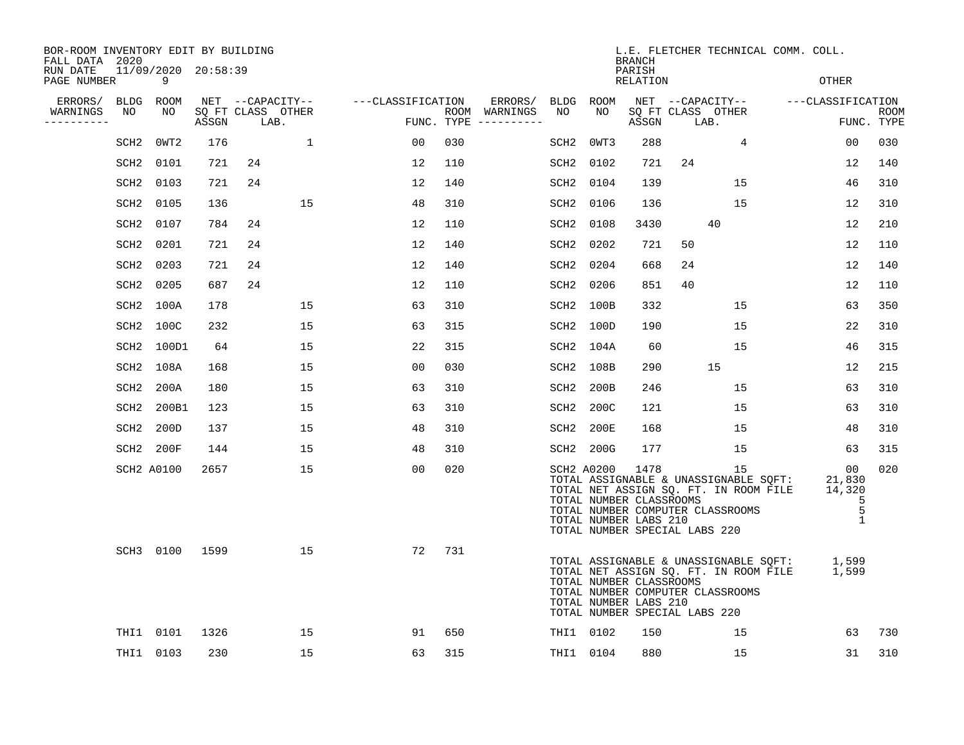| BOR-ROOM INVENTORY EDIT BY BUILDING<br>FALL DATA 2020 |                  |                          |       |      |                   |                                    |     |                                      |                  |            | <b>BRANCH</b>                                                                             |      |                                        | L.E. FLETCHER TECHNICAL COMM. COLL.                                            |                                                               |                    |
|-------------------------------------------------------|------------------|--------------------------|-------|------|-------------------|------------------------------------|-----|--------------------------------------|------------------|------------|-------------------------------------------------------------------------------------------|------|----------------------------------------|--------------------------------------------------------------------------------|---------------------------------------------------------------|--------------------|
| RUN DATE<br>PAGE NUMBER                               |                  | 11/09/2020 20:58:39<br>9 |       |      |                   |                                    |     |                                      |                  |            | PARISH<br>RELATION                                                                        |      |                                        |                                                                                | OTHER                                                         |                    |
| ERRORS/                                               |                  | BLDG ROOM                |       |      |                   | NET --CAPACITY-- ---CLASSIFICATION |     | ERRORS/                              | BLDG ROOM        |            |                                                                                           |      |                                        |                                                                                | NET --CAPACITY-- ---CLASSIFICATION                            |                    |
| WARNINGS<br>----------                                | NO               | NO                       | ASSGN | LAB. | SQ FT CLASS OTHER |                                    |     | ROOM WARNINGS<br>FUNC. TYPE $------$ | NO               | NO.        | ASSGN                                                                                     | LAB. | SQ FT CLASS OTHER                      |                                                                                |                                                               | ROOM<br>FUNC. TYPE |
|                                                       | SCH <sub>2</sub> | $0$ WT $2$               | 176   |      | $\mathbf{1}$      | 00                                 | 030 |                                      | SCH <sub>2</sub> | OWT3       | 288                                                                                       |      | $4\overline{ }$                        |                                                                                | 00                                                            | 030                |
|                                                       | SCH2             | 0101                     | 721   | 24   |                   | 12                                 | 110 |                                      | SCH2             | 0102       | 721                                                                                       | 24   |                                        |                                                                                | 12                                                            | 140                |
|                                                       | SCH2             | 0103                     | 721   | 24   |                   | 12                                 | 140 |                                      | SCH <sub>2</sub> | 0104       | 139                                                                                       |      | 15                                     |                                                                                | 46                                                            | 310                |
|                                                       | SCH2             | 0105                     | 136   |      | 15                | 48                                 | 310 |                                      | SCH <sub>2</sub> | 0106       | 136                                                                                       |      | 15                                     |                                                                                | 12                                                            | 310                |
|                                                       | SCH2             | 0107                     | 784   | 24   |                   | 12                                 | 110 |                                      | SCH <sub>2</sub> | 0108       | 3430                                                                                      |      | 40                                     |                                                                                | 12                                                            | 210                |
|                                                       | SCH2             | 0201                     | 721   | 24   |                   | 12                                 | 140 |                                      | SCH2             | 0202       | 721                                                                                       | 50   |                                        |                                                                                | 12                                                            | 110                |
|                                                       | SCH2             | 0203                     | 721   | 24   |                   | 12                                 | 140 |                                      |                  | SCH2 0204  | 668                                                                                       | 24   |                                        |                                                                                | 12                                                            | 140                |
|                                                       | SCH2             | 0205                     | 687   | 24   |                   | 12                                 | 110 |                                      |                  | SCH2 0206  | 851                                                                                       | 40   |                                        |                                                                                | 12                                                            | 110                |
|                                                       |                  | SCH2 100A                | 178   |      | 15                | 63                                 | 310 |                                      |                  | SCH2 100B  | 332                                                                                       |      | 15                                     |                                                                                | 63                                                            | 350                |
|                                                       |                  | SCH2 100C                | 232   |      | 15                | 63                                 | 315 |                                      |                  | SCH2 100D  | 190                                                                                       |      | 15                                     |                                                                                | 22                                                            | 310                |
|                                                       |                  | SCH2 100D1               | 64    |      | 15                | 22                                 | 315 |                                      |                  | SCH2 104A  | 60                                                                                        |      | 15                                     |                                                                                | 46                                                            | 315                |
|                                                       | SCH2             | 108A                     | 168   |      | 15                | 0 <sub>0</sub>                     | 030 |                                      |                  | SCH2 108B  | 290                                                                                       |      | 15                                     |                                                                                | 12                                                            | 215                |
|                                                       | SCH2             | 200A                     | 180   |      | 15                | 63                                 | 310 |                                      | SCH2             | 200B       | 246                                                                                       |      | 15                                     |                                                                                | 63                                                            | 310                |
|                                                       | SCH2             | 200B1                    | 123   |      | 15                | 63                                 | 310 |                                      |                  | SCH2 200C  | 121                                                                                       |      | 15                                     |                                                                                | 63                                                            | 310                |
|                                                       | SCH2             | 200D                     | 137   |      | 15                | 48                                 | 310 |                                      | SCH2             | 200E       | 168                                                                                       |      | 15                                     |                                                                                | 48                                                            | 310                |
|                                                       |                  | SCH2 200F                | 144   |      | 15                | 48                                 | 310 |                                      |                  | SCH2 200G  | 177                                                                                       |      | 15                                     |                                                                                | 63                                                            | 315                |
|                                                       |                  | SCH2 A0100               | 2657  |      | 15                | 00                                 | 020 |                                      |                  | SCH2 A0200 | 1478<br>TOTAL NUMBER CLASSROOMS<br>TOTAL NUMBER LABS 210<br>TOTAL NUMBER SPECIAL LABS 220 |      | 15<br>TOTAL NUMBER COMPUTER CLASSROOMS | TOTAL ASSIGNABLE & UNASSIGNABLE SQFT:<br>TOTAL NET ASSIGN SQ. FT. IN ROOM FILE | $\overline{00}$<br>21,830<br>14,320<br>5<br>5<br>$\mathbf{1}$ | 020                |
|                                                       |                  | SCH3 0100                | 1599  |      | 15                | 72                                 | 731 |                                      |                  |            | TOTAL NUMBER CLASSROOMS<br>TOTAL NUMBER LABS 210<br>TOTAL NUMBER SPECIAL LABS 220         |      | TOTAL NUMBER COMPUTER CLASSROOMS       | TOTAL NET ASSIGN SQ. FT. IN ROOM FILE                                          | TOTAL ASSIGNABLE & UNASSIGNABLE SQFT: 1,599<br>1,599          |                    |
|                                                       |                  | THI1 0101                | 1326  |      | 15                | 91                                 | 650 |                                      |                  | THI1 0102  | 150                                                                                       |      | 15                                     |                                                                                | 63                                                            | 730                |
|                                                       |                  | THI1 0103                | 230   |      | 15                | 63                                 | 315 |                                      |                  | THI1 0104  | 880                                                                                       |      | 15                                     |                                                                                | 31                                                            | 310                |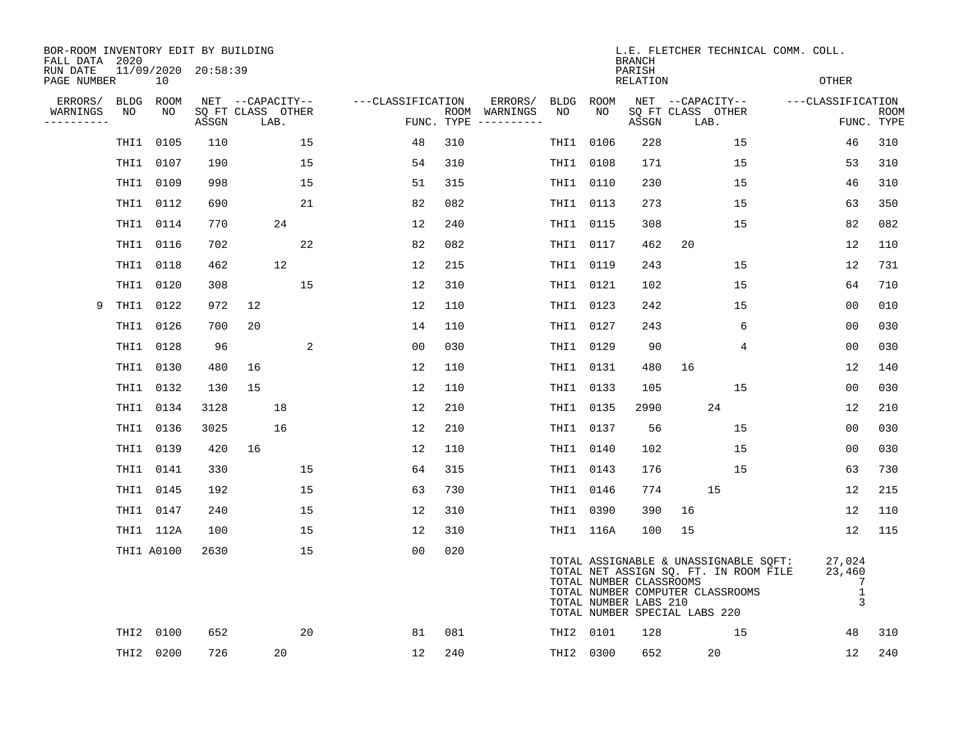| BOR-ROOM INVENTORY EDIT BY BUILDING<br>FALL DATA 2020 |             |                           |       |                           |                  |                   |            |                              |             |           | <b>BRANCH</b>                                    |                                                                                                                                                     |    | L.E. FLETCHER TECHNICAL COMM. COLL.   |                           |
|-------------------------------------------------------|-------------|---------------------------|-------|---------------------------|------------------|-------------------|------------|------------------------------|-------------|-----------|--------------------------------------------------|-----------------------------------------------------------------------------------------------------------------------------------------------------|----|---------------------------------------|---------------------------|
| RUN DATE<br>PAGE NUMBER                               |             | 11/09/2020 20:58:39<br>10 |       |                           |                  |                   |            |                              |             |           | PARISH<br>RELATION                               |                                                                                                                                                     |    | OTHER                                 |                           |
| ERRORS/                                               | <b>BLDG</b> | ROOM                      |       |                           | NET --CAPACITY-- | ---CLASSIFICATION |            | ERRORS/                      | <b>BLDG</b> | ROOM      |                                                  | NET --CAPACITY--                                                                                                                                    |    | ---CLASSIFICATION                     |                           |
| WARNINGS<br>----------                                | NO          | NO                        | ASSGN | SO FT CLASS OTHER<br>LAB. |                  |                   | FUNC. TYPE | ROOM WARNINGS<br>----------- | NO          | NO        | ASSGN                                            | SO FT CLASS OTHER<br>LAB.                                                                                                                           |    |                                       | <b>ROOM</b><br>FUNC. TYPE |
|                                                       | THI1        | 0105                      | 110   |                           | 15               | 48                | 310        |                              | THI1        | 0106      | 228                                              |                                                                                                                                                     | 15 | 46                                    | 310                       |
|                                                       | THI1        | 0107                      | 190   |                           | 15               | 54                | 310        |                              | THI1 0108   |           | 171                                              |                                                                                                                                                     | 15 | 53                                    | 310                       |
|                                                       |             | THI1 0109                 | 998   |                           | 15               | 51                | 315        |                              | THI1 0110   |           | 230                                              |                                                                                                                                                     | 15 | 46                                    | 310                       |
|                                                       |             | THI1 0112                 | 690   |                           | 21               | 82                | 082        |                              | THI1 0113   |           | 273                                              |                                                                                                                                                     | 15 | 63                                    | 350                       |
|                                                       | THI1        | 0114                      | 770   |                           | 24               | 12                | 240        |                              | THI1        | 0115      | 308                                              |                                                                                                                                                     | 15 | 82                                    | 082                       |
|                                                       |             | THI1 0116                 | 702   |                           | 22               | 82                | 082        |                              | THI1 0117   |           | 462                                              | 20                                                                                                                                                  |    | 12                                    | 110                       |
|                                                       | THI1        | 0118                      | 462   |                           | 12               | 12                | 215        |                              | THI1        | 0119      | 243                                              |                                                                                                                                                     | 15 | 12                                    | 731                       |
|                                                       | THI1        | 0120                      | 308   |                           | 15               | 12                | 310        |                              | THI1 0121   |           | 102                                              |                                                                                                                                                     | 15 | 64                                    | 710                       |
| 9                                                     | THI1        | 0122                      | 972   | 12                        |                  | 12                | 110        |                              | THI1        | 0123      | 242                                              |                                                                                                                                                     | 15 | 0 <sub>0</sub>                        | 010                       |
|                                                       | THI1        | 0126                      | 700   | 20                        |                  | 14                | 110        |                              | THI1 0127   |           | 243                                              |                                                                                                                                                     | 6  | 00                                    | 030                       |
|                                                       | THI1        | 0128                      | 96    |                           | 2                | 0 <sub>0</sub>    | 030        |                              | THI1        | 0129      | 90                                               |                                                                                                                                                     | 4  | 0 <sub>0</sub>                        | 030                       |
|                                                       | THI1        | 0130                      | 480   | 16                        |                  | 12                | 110        |                              | THI1        | 0131      | 480                                              | 16                                                                                                                                                  |    | 12                                    | 140                       |
|                                                       | THI1        | 0132                      | 130   | 15                        |                  | 12                | 110        |                              | THI1        | 0133      | 105                                              |                                                                                                                                                     | 15 | 0 <sub>0</sub>                        | 030                       |
|                                                       | THI1        | 0134                      | 3128  |                           | 18               | 12                | 210        |                              | THI1        | 0135      | 2990                                             | 24                                                                                                                                                  |    | 12                                    | 210                       |
|                                                       | THI1        | 0136                      | 3025  |                           | 16               | 12                | 210        |                              | THI1 0137   |           | 56                                               |                                                                                                                                                     | 15 | 0 <sub>0</sub>                        | 030                       |
|                                                       | THI1        | 0139                      | 420   | 16                        |                  | 12                | 110        |                              | THI1 0140   |           | 102                                              |                                                                                                                                                     | 15 | 0 <sub>0</sub>                        | 030                       |
|                                                       | THI1        | 0141                      | 330   |                           | 15               | 64                | 315        |                              | THI1 0143   |           | 176                                              |                                                                                                                                                     | 15 | 63                                    | 730                       |
|                                                       |             | THI1 0145                 | 192   |                           | 15               | 63                | 730        |                              | THI1 0146   |           | 774                                              | 15                                                                                                                                                  |    | 12                                    | 215                       |
|                                                       |             | THI1 0147                 | 240   |                           | 15               | 12                | 310        |                              | THI1 0390   |           | 390                                              | 16                                                                                                                                                  |    | 12                                    | 110                       |
|                                                       |             | THI1 112A                 | 100   |                           | 15               | 12                | 310        |                              |             | THI1 116A | 100                                              | 15                                                                                                                                                  |    | 12                                    | 115                       |
|                                                       |             | THI1 A0100                | 2630  |                           | 15               | 0 <sub>0</sub>    | 020        |                              |             |           | TOTAL NUMBER CLASSROOMS<br>TOTAL NUMBER LABS 210 | TOTAL ASSIGNABLE & UNASSIGNABLE SQFT:<br>TOTAL NET ASSIGN SQ. FT. IN ROOM FILE<br>TOTAL NUMBER COMPUTER CLASSROOMS<br>TOTAL NUMBER SPECIAL LABS 220 |    | 27,024<br>23,460<br>7<br>$\mathbf{1}$ | 3                         |
|                                                       | THI2        | 0100                      | 652   |                           | 20               | 81                | 081        |                              | THI2 0101   |           | 128                                              |                                                                                                                                                     | 15 | 48                                    | 310                       |
|                                                       |             | THI2 0200                 | 726   |                           | 20               | 12                | 240        |                              | THI2 0300   |           | 652                                              | 20                                                                                                                                                  |    | 12                                    | 240                       |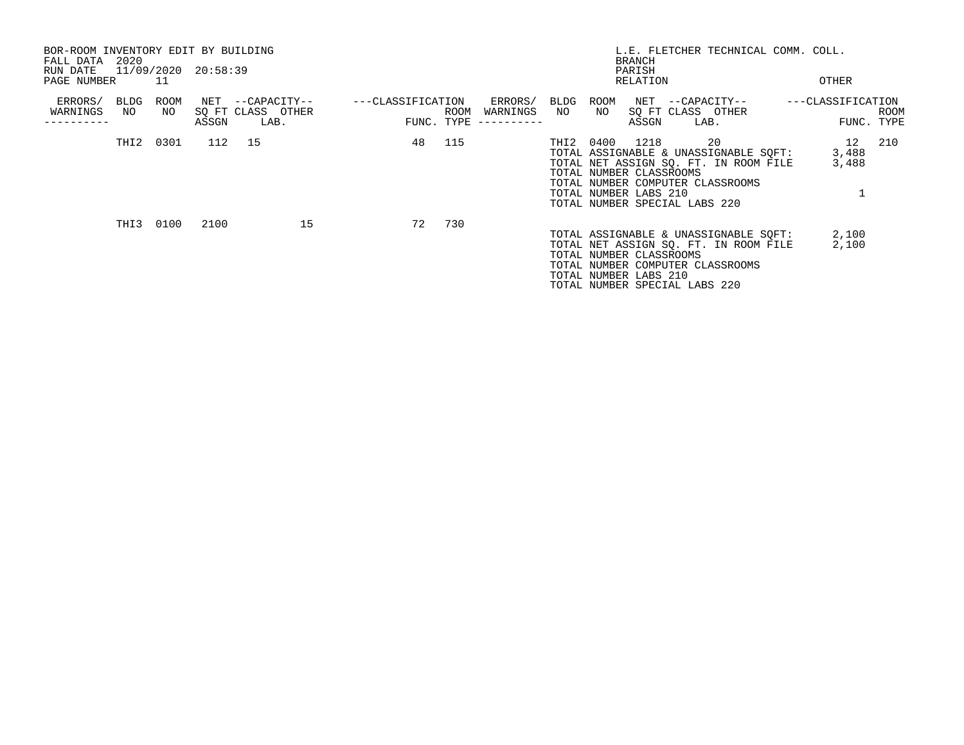| BOR-ROOM INVENTORY EDIT BY BUILDING<br>FALL DATA 2020<br>RUN DATE<br>PAGE NUMBER |            | -11        | 11/09/2020 20:58:39 |                                               |    |                   |                    |                                    |            |                                                  | BRANCH<br>PARISH<br>RELATION |                               | L.E. FLETCHER TECHNICAL COMM. COLL.                                                                                      |  | OTHER                           |      |
|----------------------------------------------------------------------------------|------------|------------|---------------------|-----------------------------------------------|----|-------------------|--------------------|------------------------------------|------------|--------------------------------------------------|------------------------------|-------------------------------|--------------------------------------------------------------------------------------------------------------------------|--|---------------------------------|------|
| ERRORS/<br>WARNINGS                                                              | BLDG<br>NO | ROOM<br>NO | ASSGN               | NET --CAPACITY--<br>SQ FT CLASS OTHER<br>LAB. |    | ---CLASSIFICATION | ROOM<br>FUNC. TYPE | ERRORS/<br>WARNINGS<br>----------- | BLDG<br>NO | ROOM<br>NO                                       | ASSGN                        | LAB.                          | NET --CAPACITY--<br>SQ FT CLASS OTHER                                                                                    |  | ---CLASSIFICATION<br>FUNC. TYPE | ROOM |
|                                                                                  |            | THI2 0301  | 112 15              |                                               |    |                   | 48 115             |                                    | THI2 0400  | TOTAL NUMBER CLASSROOMS<br>TOTAL NUMBER LABS 210 | 1218                         | TOTAL NUMBER SPECIAL LABS 220 | 20<br>TOTAL ASSIGNABLE & UNASSIGNABLE SQFT:<br>TOTAL NET ASSIGN SO. FT. IN ROOM FILE<br>TOTAL NUMBER COMPUTER CLASSROOMS |  | 12 210<br>3,488<br>3,488        |      |
|                                                                                  |            | THI3 0100  | 2100                |                                               | 15 | 72                | 730                |                                    |            | TOTAL NUMBER CLASSROOMS<br>TOTAL NUMBER LABS 210 |                              | TOTAL NUMBER SPECIAL LABS 220 | TOTAL ASSIGNABLE & UNASSIGNABLE SQFT:<br>TOTAL NET ASSIGN SQ. FT. IN ROOM FILE<br>TOTAL NUMBER COMPUTER CLASSROOMS       |  | 2,100<br>2,100                  |      |